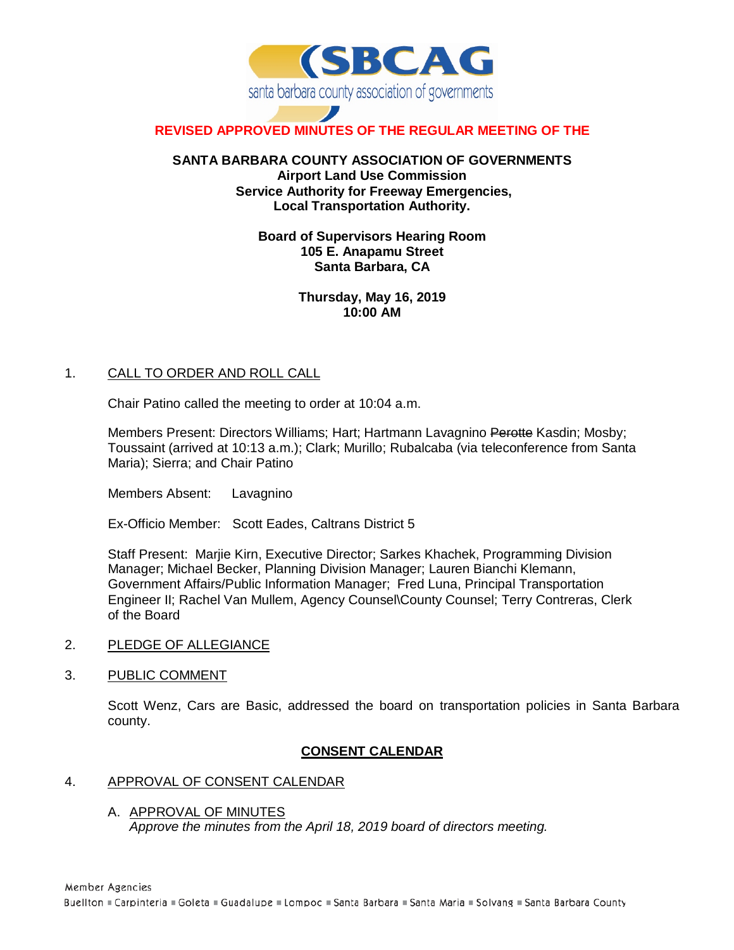

# **REVISED APPROVED MINUTES OF THE REGULAR MEETING OF THE**

### **SANTA BARBARA COUNTY ASSOCIATION OF GOVERNMENTS Airport Land Use Commission Service Authority for Freeway Emergencies, Local Transportation Authority.**

### **Board of Supervisors Hearing Room 105 E. Anapamu Street Santa Barbara, CA**

**Thursday, May 16, 2019 10:00 AM**

# 1. CALL TO ORDER AND ROLL CALL

Chair Patino called the meeting to order at 10:04 a.m.

Members Present: Directors Williams; Hart; Hartmann Lavagnino Perotte Kasdin; Mosby; Toussaint (arrived at 10:13 a.m.); Clark; Murillo; Rubalcaba (via teleconference from Santa Maria); Sierra; and Chair Patino

Members Absent: Lavagnino

Ex-Officio Member: Scott Eades, Caltrans District 5

Staff Present: Marjie Kirn, Executive Director; Sarkes Khachek, Programming Division Manager; Michael Becker, Planning Division Manager; Lauren Bianchi Klemann, Government Affairs/Public Information Manager; Fred Luna, Principal Transportation Engineer II; Rachel Van Mullem, Agency Counsel\County Counsel; Terry Contreras, Clerk of the Board

### 2. PLEDGE OF ALLEGIANCE

3. PUBLIC COMMENT

Scott Wenz, Cars are Basic, addressed the board on transportation policies in Santa Barbara county.

# **CONSENT CALENDAR**

### 4. APPROVAL OF CONSENT CALENDAR

A. APPROVAL OF MINUTES *Approve the minutes from the April 18, 2019 board of directors meeting.*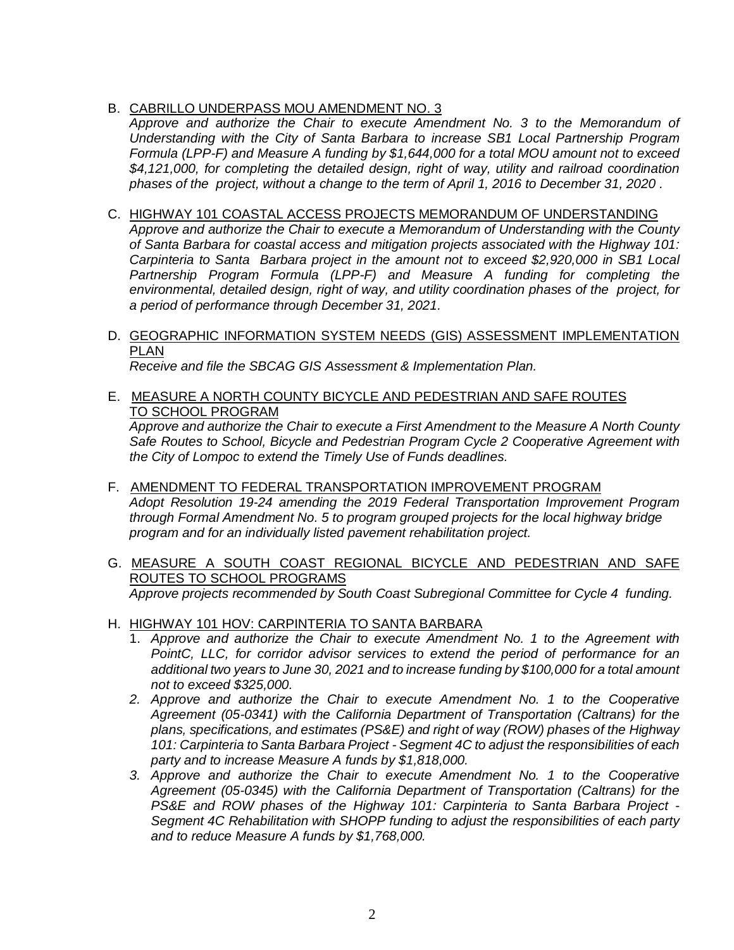# B. CABRILLO UNDERPASS MOU AMENDMENT NO. 3

Approve and authorize the Chair to execute Amendment No. 3 to the Memorandum of *Understanding with the City of Santa Barbara to increase SB1 Local Partnership Program Formula (LPP-F) and Measure A funding by \$1,644,000 for a total MOU amount not to exceed \$4,121,000, for completing the detailed design, right of way, utility and railroad coordination phases of the project, without a change to the term of April 1, 2016 to December 31, 2020 .*

- C. HIGHWAY 101 COASTAL ACCESS PROJECTS MEMORANDUM OF UNDERSTANDING *Approve and authorize the Chair to execute a Memorandum of Understanding with the County of Santa Barbara for coastal access and mitigation projects associated with the Highway 101: Carpinteria to Santa Barbara project in the amount not to exceed \$2,920,000 in SB1 Local Partnership Program Formula (LPP-F) and Measure A funding for completing the environmental, detailed design, right of way, and utility coordination phases of the project, for a period of performance through December 31, 2021.*
- D. GEOGRAPHIC INFORMATION SYSTEM NEEDS (GIS) ASSESSMENT IMPLEMENTATION PLAN

*Receive and file the SBCAG GIS Assessment & Implementation Plan.*

E. MEASURE A NORTH COUNTY BICYCLE AND PEDESTRIAN AND SAFE ROUTES TO SCHOOL PROGRAM *Approve and authorize the Chair to execute a First Amendment to the Measure A North County* 

*Safe Routes to School, Bicycle and Pedestrian Program Cycle 2 Cooperative Agreement with the City of Lompoc to extend the Timely Use of Funds deadlines.*

- F. AMENDMENT TO FEDERAL TRANSPORTATION IMPROVEMENT PROGRAM *Adopt Resolution 19-24 amending the 2019 Federal Transportation Improvement Program through Formal Amendment No. 5 to program grouped projects for the local highway bridge program and for an individually listed pavement rehabilitation project.*
- G. MEASURE A SOUTH COAST REGIONAL BICYCLE AND PEDESTRIAN AND SAFE ROUTES TO SCHOOL PROGRAMS *Approve projects recommended by South Coast Subregional Committee for Cycle 4 funding.*
- H. HIGHWAY 101 HOV: CARPINTERIA TO SANTA BARBARA
	- 1. *Approve and authorize the Chair to execute Amendment No. 1 to the Agreement with PointC, LLC, for corridor advisor services to extend the period of performance for an additional two years to June 30, 2021 and to increase funding by \$100,000 for a total amount not to exceed \$325,000.*
	- *2. Approve and authorize the Chair to execute Amendment No. 1 to the Cooperative Agreement (05-0341) with the California Department of Transportation (Caltrans) for the plans, specifications, and estimates (PS&E) and right of way (ROW) phases of the Highway 101: Carpinteria to Santa Barbara Project - Segment 4C to adjust the responsibilities of each party and to increase Measure A funds by \$1,818,000.*
	- *3. Approve and authorize the Chair to execute Amendment No. 1 to the Cooperative Agreement (05-0345) with the California Department of Transportation (Caltrans) for the PS&E and ROW phases of the Highway 101: Carpinteria to Santa Barbara Project - Segment 4C Rehabilitation with SHOPP funding to adjust the responsibilities of each party and to reduce Measure A funds by \$1,768,000.*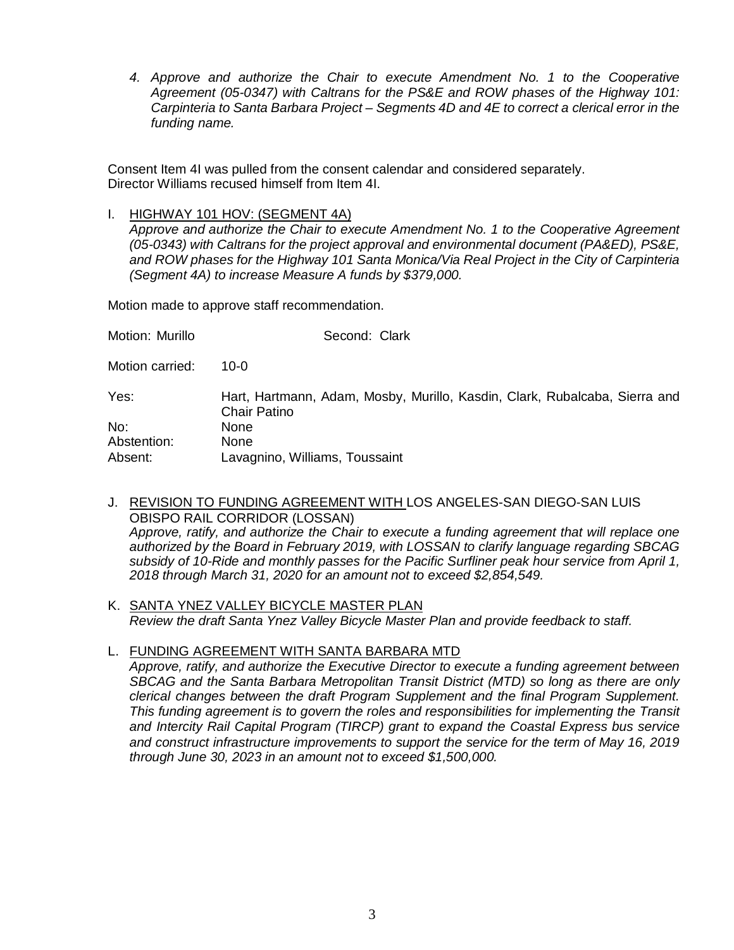*4. Approve and authorize the Chair to execute Amendment No. 1 to the Cooperative Agreement (05-0347) with Caltrans for the PS&E and ROW phases of the Highway 101: Carpinteria to Santa Barbara Project – Segments 4D and 4E to correct a clerical error in the funding name.*

Consent Item 4I was pulled from the consent calendar and considered separately. Director Williams recused himself from Item 4I.

I. HIGHWAY 101 HOV: (SEGMENT 4A)

*Approve and authorize the Chair to execute Amendment No. 1 to the Cooperative Agreement (05-0343) with Caltrans for the project approval and environmental document (PA&ED), PS&E, and ROW phases for the Highway 101 Santa Monica/Via Real Project in the City of Carpinteria (Segment 4A) to increase Measure A funds by \$379,000.*

Motion made to approve staff recommendation.

| Motion: Murillo | Second: Clark                                                                                     |
|-----------------|---------------------------------------------------------------------------------------------------|
| Motion carried: | 10-0                                                                                              |
| Yes:            | Hart, Hartmann, Adam, Mosby, Murillo, Kasdin, Clark, Rubalcaba, Sierra and<br><b>Chair Patino</b> |
| No:             | <b>None</b>                                                                                       |
| Abstention:     | None                                                                                              |
| Absent:         | Lavagnino, Williams, Toussaint                                                                    |

- J. REVISION TO FUNDING AGREEMENT WITH LOS ANGELES-SAN DIEGO-SAN LUIS OBISPO RAIL CORRIDOR (LOSSAN) *Approve, ratify, and authorize the Chair to execute a funding agreement that will replace one authorized by the Board in February 2019, with LOSSAN to clarify language regarding SBCAG subsidy of 10-Ride and monthly passes for the Pacific Surfliner peak hour service from April 1, 2018 through March 31, 2020 for an amount not to exceed \$2,854,549.*
- K. SANTA YNEZ VALLEY BICYCLE MASTER PLAN *Review the draft Santa Ynez Valley Bicycle Master Plan and provide feedback to staff.*
- L. FUNDING AGREEMENT WITH SANTA BARBARA MTD

*Approve, ratify, and authorize the Executive Director to execute a funding agreement between SBCAG and the Santa Barbara Metropolitan Transit District (MTD) so long as there are only clerical changes between the draft Program Supplement and the final Program Supplement. This funding agreement is to govern the roles and responsibilities for implementing the Transit and Intercity Rail Capital Program (TIRCP) grant to expand the Coastal Express bus service and construct infrastructure improvements to support the service for the term of May 16, 2019 through June 30, 2023 in an amount not to exceed \$1,500,000.*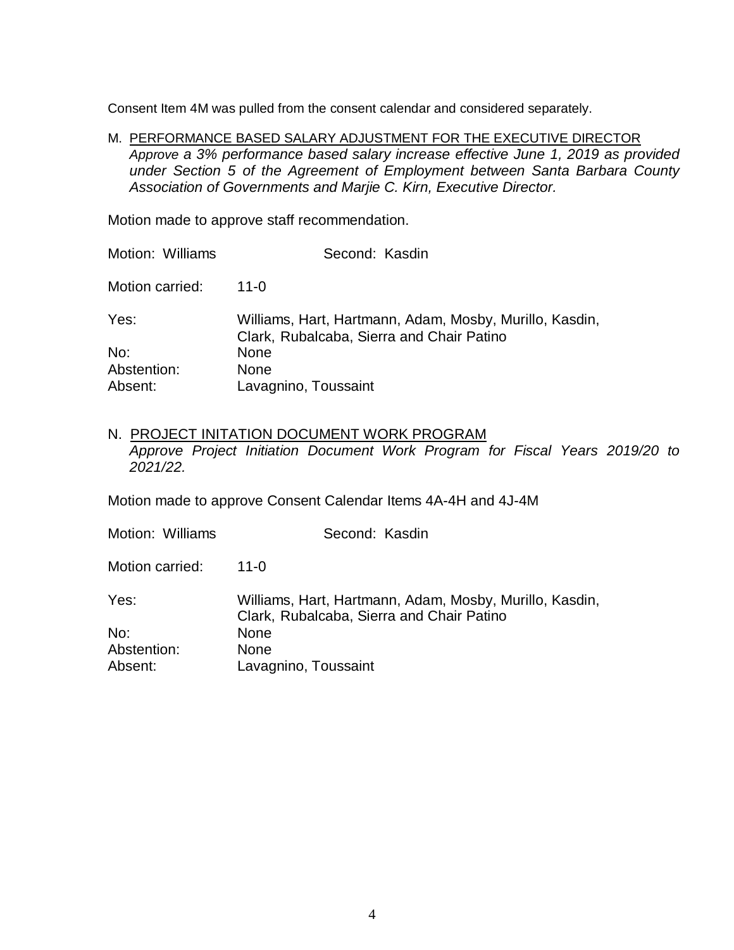Consent Item 4M was pulled from the consent calendar and considered separately.

M. PERFORMANCE BASED SALARY ADJUSTMENT FOR THE EXECUTIVE DIRECTOR *Approve a 3% performance based salary increase effective June 1, 2019 as provided under Section 5 of the Agreement of Employment between Santa Barbara County Association of Governments and Marjie C. Kirn, Executive Director.*

Motion made to approve staff recommendation.

| Motion: Williams | Second: Kasdin                                                                                       |
|------------------|------------------------------------------------------------------------------------------------------|
| Motion carried:  | 11- $\Omega$                                                                                         |
| Yes:             | Williams, Hart, Hartmann, Adam, Mosby, Murillo, Kasdin,<br>Clark, Rubalcaba, Sierra and Chair Patino |
| No:              | <b>None</b>                                                                                          |
| Abstention:      | <b>None</b>                                                                                          |
| Absent:          | Lavagnino, Toussaint                                                                                 |

# N. PROJECT INITATION DOCUMENT WORK PROGRAM *Approve Project Initiation Document Work Program for Fiscal Years 2019/20 to 2021/22.*

Motion made to approve Consent Calendar Items 4A-4H and 4J-4M

Motion: Williams Second: Kasdin

Motion carried: 11-0

| Yes:        | Williams, Hart, Hartmann, Adam, Mosby, Murillo, Kasdin, |
|-------------|---------------------------------------------------------|
|             | Clark, Rubalcaba, Sierra and Chair Patino               |
| No:         | <b>None</b>                                             |
| Abstention: | <b>None</b>                                             |
| Absent:     | Lavagnino, Toussaint                                    |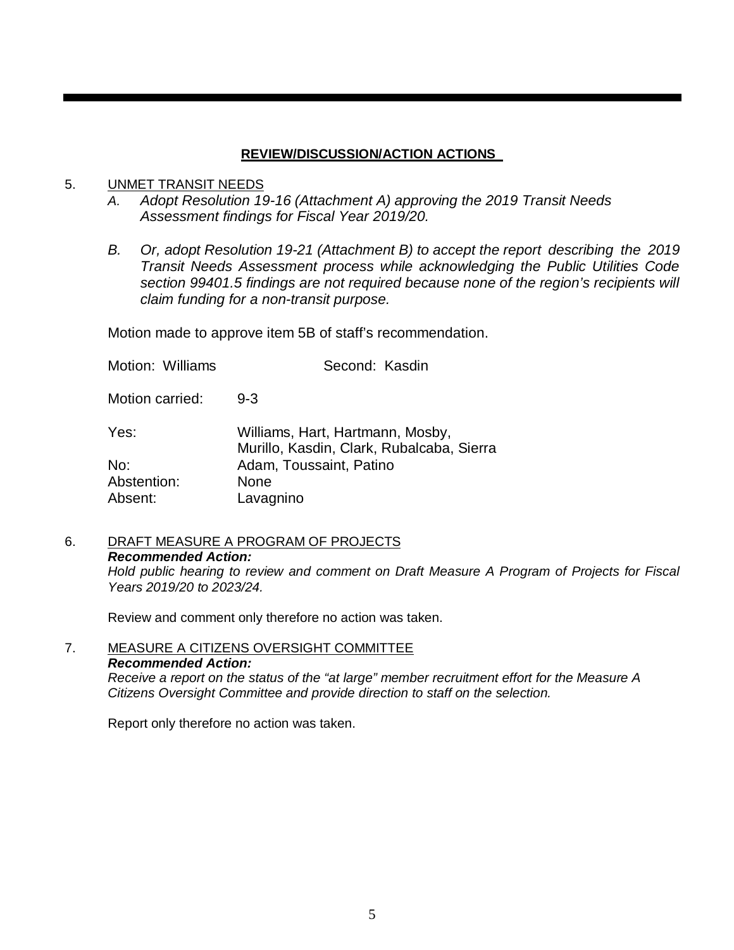# **REVIEW/DISCUSSION/ACTION ACTIONS**

### 5. UNMET TRANSIT NEEDS

- *A. Adopt Resolution 19-16 (Attachment A) approving the 2019 Transit Needs Assessment findings for Fiscal Year 2019/20.*
- *B. Or, adopt Resolution 19-21 (Attachment B) to accept the report describing the 2019 Transit Needs Assessment process while acknowledging the Public Utilities Code section 99401.5 findings are not required because none of the region's recipients will claim funding for a non-transit purpose.*

Motion made to approve item 5B of staff's recommendation.

| Motion: Williams | Second: Kasdin                                                                |
|------------------|-------------------------------------------------------------------------------|
| Motion carried:  | $9 - 3$                                                                       |
| Yes:             | Williams, Hart, Hartmann, Mosby,<br>Murillo, Kasdin, Clark, Rubalcaba, Sierra |
| No:              | Adam, Toussaint, Patino                                                       |
| Abstention:      | <b>None</b>                                                                   |
| Absent:          | Lavagnino                                                                     |

# 6. DRAFT MEASURE A PROGRAM OF PROJECTS *Recommended Action:*

*Hold public hearing to review and comment on Draft Measure A Program of Projects for Fiscal Years 2019/20 to 2023/24.*

Review and comment only therefore no action was taken.

# 7. MEASURE A CITIZENS OVERSIGHT COMMITTEE *Recommended Action:*

*Receive a report on the status of the "at large" member recruitment effort for the Measure A Citizens Oversight Committee and provide direction to staff on the selection.*

Report only therefore no action was taken.